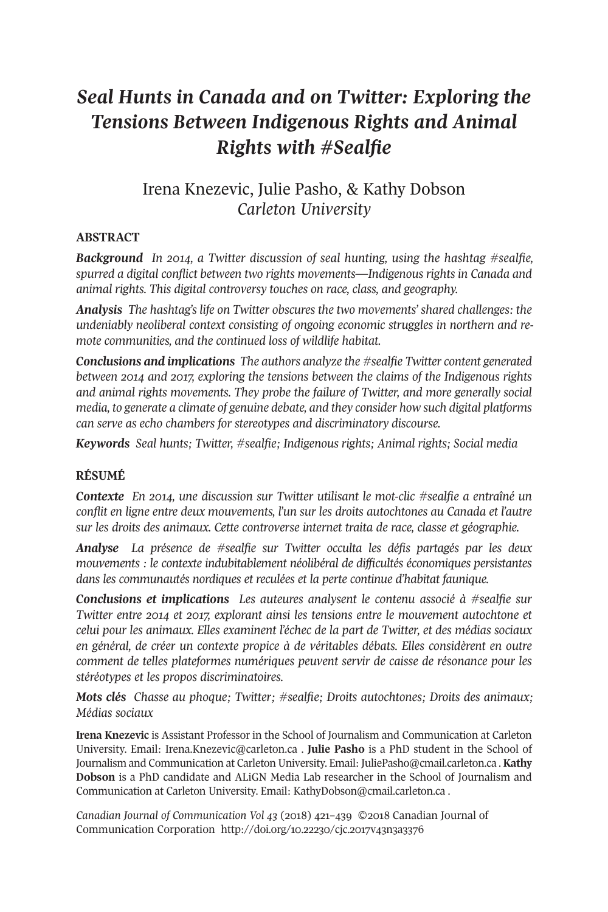# *Seal Hunts in Canada and on Twitter: Exploring the Tensions Between Indigenous Rights and Animal Rights with #Sealfie*

## Irena Knezevic, Julie Pasho, & Kathy Dobson *Carleton University*

### **ABSTRACT**

*Background In 2014, a Twitter discussion of seal hunting, using the hashtag #sealfie, spurred a digital conflict between two rights movements—Indigenous rights in Canada and animal rights. This digital controversy touches on race, class, and geography.*

*Analysis The hashtag's life on Twitter obscures the two movements' shared challenges: the undeniably neoliberal context consisting of ongoing economic struggles in northern and remote communities, and the continued loss of wildlife habitat.*

*Conclusions and implications The authors analyze the #sealfie Twitter content generated between 2014 and 2017, exploring the tensions between the claims of the Indigenous rights and animal rights movements. They probe the failure of Twitter, and more generally social media, to generate a climate of genuine debate, and they consider how such digital platforms can serve as echo chambers for stereotypes and discriminatory discourse.*

*Keywords Seal hunts; Twitter, #sealfie; Indigenous rights; Animal rights; Social media*

#### **RÉSUMÉ**

*Contexte En 2014, une discussion sur Twitter utilisant le mot-clic #sealfie a entraîné un conflit en ligne entre deux mouvements, l'un sur les droits autochtones au Canada et l'autre sur les droits des animaux. Cette controverse internet traita de race, classe et géographie.*

*Analyse La présence de #sealfie sur Twitter occulta les défis partagés par les deux mouvements : le contexte indubitablement néolibéral de difficultés économiques persistantes dans les communautés nordiques et reculées et la perte continue d'habitat faunique.*

*Conclusions et implications Les auteures analysent le contenu associé à #sealfie sur Twitter entre 2014 et 2017, explorant ainsi les tensions entre le mouvement autochtone et celui pour les animaux. Elles examinent l'échec de la part de Twitter, et des médias sociaux en général, de créer un contexte propice à de véritables débats. Elles considèrent en outre comment de telles plateformes numériques peuvent servir de caisse de résonance pour les stéréotypes et les propos discriminatoires.*

*Mots clés Chasse au phoque; Twitter; #sealfie; Droits autochtones; Droits des animaux; Médias sociaux*

**Irena Knezevic** is Assistant Professor in the School of Journalism and Communication at Carleton University. Email: [Irena.Knezevic@carleton.ca](mailto:Irena.Knezevic@carleton.ca) . **Julie Pasho** is a PhD student in the School of Journalism and Communication at Carleton University. Email: [JuliePasho@cmail.carleton.ca](mailto:JuliePasho@cmail.carleton.ca) . **Kathy Dobson** is a PhD candidate and ALiGN Media Lab researcher in the School of Journalism and Communication at Carleton University. Email: [KathyDobson@cmail.carleton.ca](mailto:KathyDobson@cmail.carleton.ca) .

*Canadian Journal of [Communication](http://www.cjc-online.ca) Vol 43* (2018) 421–439 ©2018 Canadian Journal of Communication Corporation <http://doi.org/10.22230/cjc.2017v43n3a3376>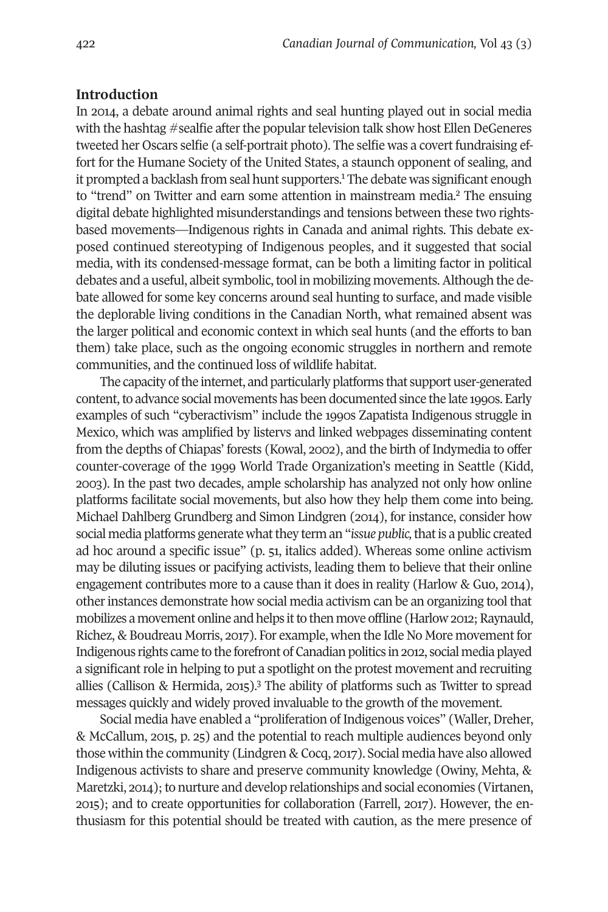#### **Introduction**

In 2014, a debate around animal rights and seal hunting played out in social media with the hashtag #sealfie after the popular television talk show host Ellen DeGeneres tweeted her Oscars selfie (a self-portrait photo). The selfie was a covert fundraising effort for the Humane Society of the United States, a staunch opponent of sealing, and it prompted a backlash from seal hunt supporters.<sup>[1](#page-14-0)</sup> The debate was sig[nifi](#page-14-1)cant enough to "trend" on Twitter and earn some attention in mainstream media. <sup>2</sup> The ensuing digital debate highlighted misunderstandings and tensions between these two rightsbased movements—Indigenous rights in Canada and animal rights. This debate exposed continued stereotyping of Indigenous peoples, and it suggested that social media, with its condensed-message format, can be both a limiting factor in political debates and a useful, albeit symbolic, tool in mobilizing movements. Although the debate allowed for some key concerns around seal hunting to surface, and made visible the deplorable living conditions in the Canadian North, what remained absent was the larger political and economic context in which seal hunts (and the efforts to ban them) take place, such as the ongoing economic struggles in northern and remote communities, and the continued loss of wildlife habitat.

The capacity of the internet, and particularly platforms that support user-generated content, to advance social movements has been documented since the late 1990s. Early examples of such "cyberactivism" include the 1990s Zapatista Indigenous struggle in Mexico, which was amplified by listervs and linked webpages disseminating content from the depths of Chiapas' forests (Kowal, 2002), and the birth of Indymedia to offer counter-coverage of the 1999 World Trade Organization's meeting in Seattle (Kidd, 2003). In the past two decades, ample scholarship has analyzed not only how online platforms facilitate social movements, but also how they help them come into being. Michael Dahlberg Grundberg and Simon Lindgren (2014), for instance, consider how social media platforms generate whatthey term an "*issue public,*thatis a public created ad hoc around a specific issue" (p. 51, italics added). Whereas some online activism may be diluting issues or pacifying activists, leading them to believe that their online engagement contributes more to a cause than it does in reality (Harlow & Guo, 2014), otherinstances demonstrate how social media activism can be an organizing tool that mobilizes a movement online and helps it to then move offline (Harlow 2012; Raynauld, Richez, & Boudreau Morris, 2017). For example, when the Idle No More movementfor Indigenous rights came to the forefront of Canadian politics in 2012, social media played a significant role in helping to put a spotlight on the protest movement and recruiting allies (Callison & Hermida, 2015). [3](#page-14-2) The ability of platforms such as Twitter to spread messages quickly and widely proved invaluable to the growth of the movement.

Social media have enabled a "proliferation of Indigenous voices" (Waller, Dreher, & McCallum, 2015, p. 25) and the potential to reach multiple audiences beyond only those within the community (Lindgren & Cocq, 2017). Social media have also allowed Indigenous activists to share and preserve community knowledge (Owiny, Mehta, & Maretzki, 2014); to nurture and develop relationships and social economies (Virtanen, 2015); and to create opportunities for collaboration (Farrell, 2017). However, the enthusiasm for this potential should be treated with caution, as the mere presence of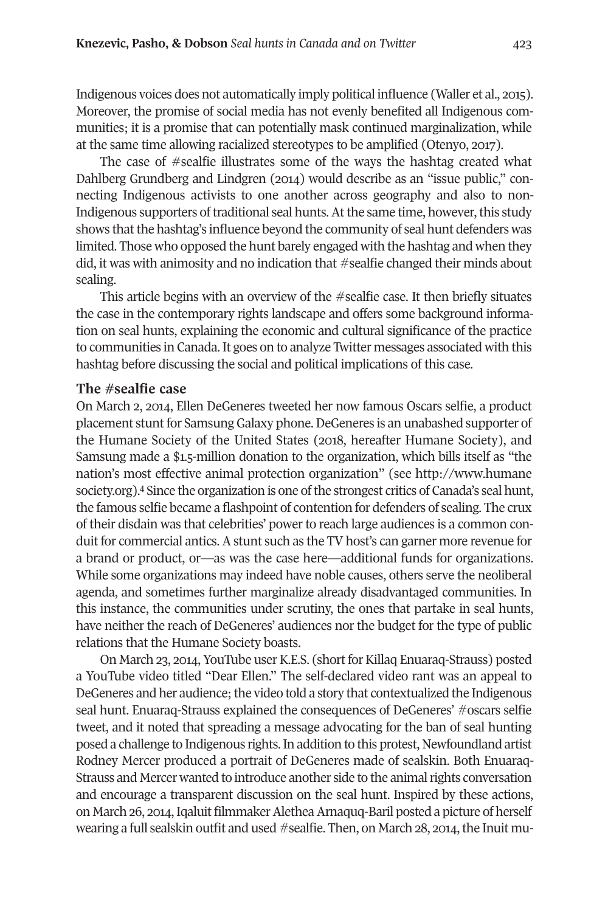Indigenous voices does not automatically imply political influence (Waller et al., 2015). Moreover, the promise of social media has not evenly benefited all Indigenous communities; it is a promise that can potentially mask continued marginalization, while at the same time allowing racialized stereotypes to be amplified (Otenyo, 2017).

The case of #sealfie illustrates some of the ways the hashtag created what Dahlberg Grundberg and Lindgren (2014) would describe as an "issue public," connecting Indigenous activists to one another across geography and also to non-Indigenous supporters of traditional seal hunts. At the same time, however, this study shows that the hashtag's influence beyond the community of seal hunt defenders was limited. Those who opposed the hunt barely engaged with the hashtag and when they did, it was with animosity and no indication that #sealfie changed their minds about sealing.

This article begins with an overview of the #sealfie case. It then briefly situates the case in the contemporary rights landscape and offers some background information on seal hunts, explaining the economic and cultural significance of the practice to communities in Canada. It goes on to analyze Twitter messages associated with this hashtag before discussing the social and political implications of this case.

#### **The #sealfie case**

On March 2, 2014, Ellen DeGeneres tweeted her now famous Oscars selfie, a product placement stunt for Samsung Galaxy phone. DeGeneres is an unabashed supporter of the Humane Society of the United States (2018, hereafter Humane Society), and Samsung made a \$1.5-million donation to the organization, which bills itself as "the nation's m[os](#page-14-3)t effective animal protection organization" (see [http://www.humane](http://www.humanesociety.org) [society.org\)](http://www.humanesociety.org).<sup>4</sup> Since the organization is one of the strongest critics of Canada's seal hunt, the famous selfie became a flashpoint of contention for defenders of sealing. The crux of their disdain was that celebrities' power to reach large audiences is a common conduit for commercial antics. A stunt such as the TV host's can garner more revenue for a brand or product, or—as was the case here—additional funds for organizations. While some organizations may indeed have noble causes, others serve the neoliberal agenda, and sometimes further marginalize already disadvantaged communities. In this instance, the communities under scrutiny, the ones that partake in seal hunts, have neither the reach of DeGeneres' audiences nor the budget for the type of public relations that the Humane Society boasts.

On March 23, 2014, YouTube user K.E.S. (short for Killaq Enuaraq-Strauss) posted a YouTube video titled "Dear Ellen." The self-declared video rant was an appeal to DeGeneres and her audience; the video told a story that contextualized the Indigenous seal hunt. Enuaraq-Strauss explained the consequences of DeGeneres' #oscars selfie tweet, and it noted that spreading a message advocating for the ban of seal hunting posed a challenge to Indigenous rights.In addition to this protest, Newfoundland artist Rodney Mercer produced a portrait of DeGeneres made of sealskin. Both Enuaraq-Strauss and Mercer wanted to introduce another side to the animal rights conversation and encourage a transparent discussion on the seal hunt. Inspired by these actions, on March 26, 2014, Iqaluit filmmaker Alethea Arnaquq-Baril posted a picture of herself wearing a full sealskin outfit and used #sealfie. Then, on March  $28$ ,  $2014$ , the Inuit mu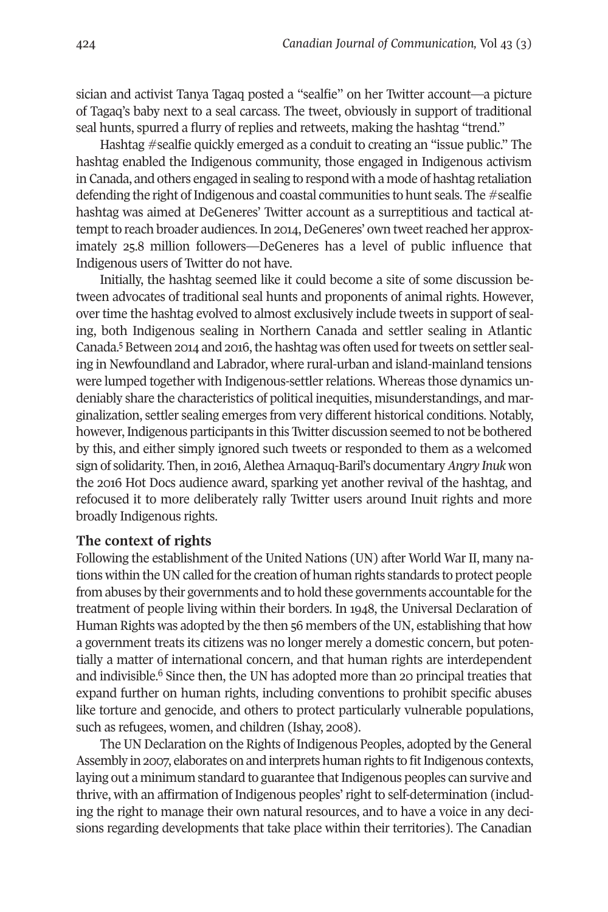sician and activist Tanya Tagaq posted a "sealfie" on her Twitter account—a picture of Tagaq's baby next to a seal carcass. The tweet, obviously in support of traditional seal hunts, spurred a flurry of replies and retweets, making the hashtag "trend."

Hashtag #sealfie quickly emerged as a conduit to creating an "issue public." The hashtag enabled the Indigenous community, those engaged in Indigenous activism in Canada, and others engaged in sealing to respond with a mode of hashtag retaliation defending the right of Indigenous and coastal communities to hunt seals. The  $\#$ sealfie hashtag was aimed at DeGeneres' Twitter account as a surreptitious and tactical attempt to reach broader audiences. In 2014, DeGeneres' own tweet reached her approximately 25.8 million followers—DeGeneres has a level of public influence that Indigenous users of Twitter do not have.

Initially, the hashtag seemed like it could become a site of some discussion between advocates of traditional seal hunts and proponents of animal rights. However, over time the hashtag evolved to almost exclusively include tweets in support of sealing, bo[th](#page-14-4) Indigenous sealing in Northern Canada and settler sealing in Atlantic Canada.<sup>5</sup> Between 2014 and 2016, the hashtag was often used for tweets on settler sealing in Newfoundland and Labrador, where rural-urban and island-mainland tensions were lumped together with Indigenous-settler relations. Whereas those dynamics undeniably share the characteristics of political inequities, misunderstandings, and marginalization, settler sealing emerges from very different historical conditions. Notably, however, Indigenous participants in this Twitter discussion seemed to not be bothered by this, and either simply ignored such tweets or responded to them as a welcomed sign of solidarity. Then, in 2016, Alethea Arnaquq-Baril's documentary *Angry Inuk* won the 2016 Hot Docs audience award, sparking yet another revival of the hashtag, and refocused it to more deliberately rally Twitter users around Inuit rights and more broadly Indigenous rights.

#### **The context of rights**

Following the establishment of the United Nations (UN) after World War II, many nations within theUN called forthe creation of human rights standards to protect people from abuses by their governments and to hold these governments accountable forthe treatment of people living within their borders. In 1948, the Universal Declaration of Human Rights was adopted by the then 56 members of the UN, establishing that how a government treats its citizens was no longer merely a domestic concern, but potentially a matter [of](#page-14-5) international concern, and that human rights are interdependent and indivisible. <sup>6</sup> Since then, the UN has adopted more than 20 principal treaties that expand further on human rights, including conventions to prohibit specific abuses like torture and genocide, and others to protect particularly vulnerable populations, such as refugees, women, and children (Ishay, 2008).

The UN Declaration on the Rights of Indigenous Peoples, adopted by the General Assembly in 2007, elaborates on and interprets human rights to fit Indigenous contexts, laying out a minimum standard to guarantee that Indigenous peoples can survive and thrive, with an affirmation of Indigenous peoples' right to self-determination (including the right to manage their own natural resources, and to have a voice in any decisions regarding developments that take place within their territories). The Canadian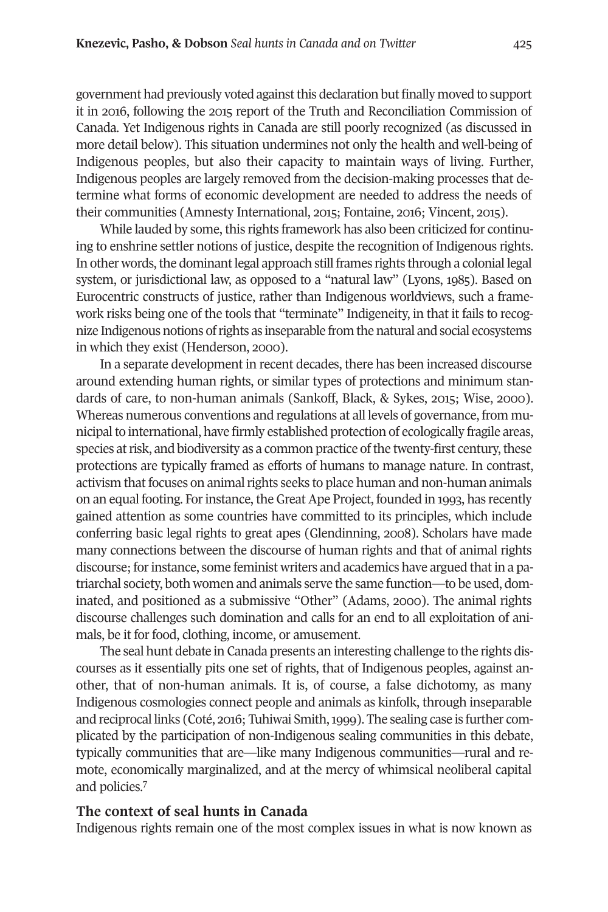government had previously voted against this declaration but finally moved to support it in 2016, following the 2015 report of the Truth and Reconciliation Commission of Canada. Yet Indigenous rights in Canada are still poorly recognized (as discussed in more detail below). This situation undermines not only the health and well-being of Indigenous peoples, but also their capacity to maintain ways of living. Further, Indigenous peoples are largely removed from the decision-making processes that determine what forms of economic development are needed to address the needs of their communities (Amnesty International, 2015; Fontaine, 2016; Vincent, 2015).

While lauded by some, this rights framework has also been criticized for continuing to enshrine settler notions of justice, despite the recognition of Indigenous rights. In other words, the dominant legal approach still frames rights through a colonial legal system, or jurisdictional law, as opposed to a "natural law" (Lyons, 1985). Based on Eurocentric constructs of justice, rather than Indigenous worldviews, such a framework risks being one of the tools that "terminate" Indigeneity, in that it fails to recognize Indigenous notions ofrights as inseparable from the natural and social ecosystems in which they exist (Henderson, 2000).

In a separate development in recent decades, there has been increased discourse around extending human rights, or similar types of protections and minimum standards of care, to non-human animals (Sankoff, Black, & Sykes, 2015; Wise, 2000). Whereas numerous conventions and regulations at all levels of governance, from municipal to international, have firmly established protection of ecologically fragile areas, species at risk, and biodiversity as a common practice of the twenty-first century, these protections are typically framed as efforts of humans to manage nature. In contrast, activism that focuses on animal rights seeks to place human and non-human animals on an equal footing. Forinstance, the Great Ape Project, founded in 1993, has recently gained attention as some countries have committed to its principles, which include conferring basic legal rights to great apes (Glendinning, 2008). Scholars have made many connections between the discourse of human rights and that of animal rights discourse; forinstance, some feminist writers and academics have argued thatin a patriarchal society, both women and animals serve the same function—to be used, dominated, and positioned as a submissive "Other" (Adams, 2000). The animal rights discourse challenges such domination and calls for an end to all exploitation of animals, be it for food, clothing, income, or amusement.

The seal hunt debate in Canada presents an interesting challenge to the rights discourses as it essentially pits one set of rights, that of Indigenous peoples, against another, that of non-human animals. It is, of course, a false dichotomy, as many Indigenous cosmologies connect people and animals as kinfolk, through inseparable and reciprocal links (Coté, 2016; Tuhiwai Smith, 1999). The sealing case is further complicated by the participation of non-Indigenous sealing communities in this debate, typically communities that are—like many Indigenous communities—rural and remote, econ[om](#page-14-6)ically marginalized, and at the mercy of whimsical neoliberal capital and policies. 7

#### **The context of seal hunts in Canada**

Indigenous rights remain one of the most complex issues in what is now known as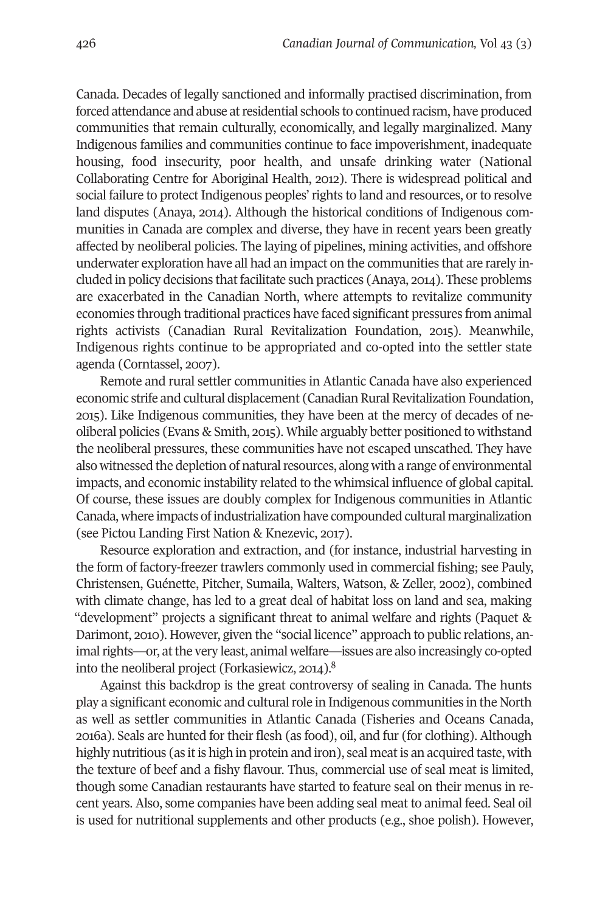Canada. Decades of legally sanctioned and informally practised discrimination, from forced attendance and abuse atresidential schools to continued racism, have produced communities that remain culturally, economically, and legally marginalized. Many Indigenous families and communities continue to face impoverishment, inadequate housing, food insecurity, poor health, and unsafe drinking water (National Collaborating Centre for Aboriginal Health, 2012). There is widespread political and social failure to protect Indigenous peoples' rights to land and resources, or to resolve land disputes (Anaya, 2014). Although the historical conditions of Indigenous communities in Canada are complex and diverse, they have in recent years been greatly affected by neoliberal policies. The laying of pipelines, mining activities, and offshore underwater exploration have all had an impact on the communities that are rarely included in policy decisions that facilitate such practices (Anaya, 2014). These problems are exacerbated in the Canadian North, where attempts to revitalize community economies through traditional practices have faced significant pressures from animal rights activists (Canadian Rural Revitalization Foundation, 2015). Meanwhile, Indigenous rights continue to be appropriated and co-opted into the settler state agenda (Corntassel, 2007).

Remote and rural settler communities in Atlantic Canada have also experienced economic strife and cultural displacement (Canadian Rural Revitalization Foundation, 2015). Like Indigenous communities, they have been at the mercy of decades of neoliberal policies (Evans & Smith, 2015). While arguably better positioned to withstand the neoliberal pressures, these communities have not escaped unscathed. They have also witnessed the depletion of natural resources, along with a range of environmental impacts, and economic instability related to the whimsical influence of global capital. Of course, these issues are doubly complex for Indigenous communities in Atlantic Canada, where impacts ofindustrialization have compounded cultural marginalization (see Pictou Landing First Nation & Knezevic, 2017).

Resource exploration and extraction, and (for instance, industrial harvesting in the form of factory-freezer trawlers commonly used in commercial fishing; see Pauly, Christensen, Guénette, Pitcher, Sumaila, Walters, Watson, & Zeller, 2002), combined with climate change, has led to a great deal of habitat loss on land and sea, making "development" projects a significant threat to animal welfare and rights (Paquet & Darimont, 2010). However, given the "social licence" approach to public relations, an-imal rights[—](#page-15-0)or, at the very least, animal welfare—issues are also increasingly co-opted into the neoliberal project (Forkasiewicz, 2014). 8

Against this backdrop is the great controversy of sealing in Canada. The hunts play a significant economic and culturalrole in Indigenous communities in the North as well as settler communities in Atlantic Canada (Fisheries and Oceans Canada, 2016a). Seals are hunted for their flesh (as food), oil, and fur (for clothing). Although highly nutritious (as it is high in protein and iron), seal meat is an acquired taste, with the texture of beef and a fishy flavour. Thus, commercial use of seal meat is limited, though some Canadian restaurants have started to feature seal on their menus in recent years. Also, some companies have been adding seal meat to animal feed. Seal oil is used for nutritional supplements and other products (e.g., shoe polish). However,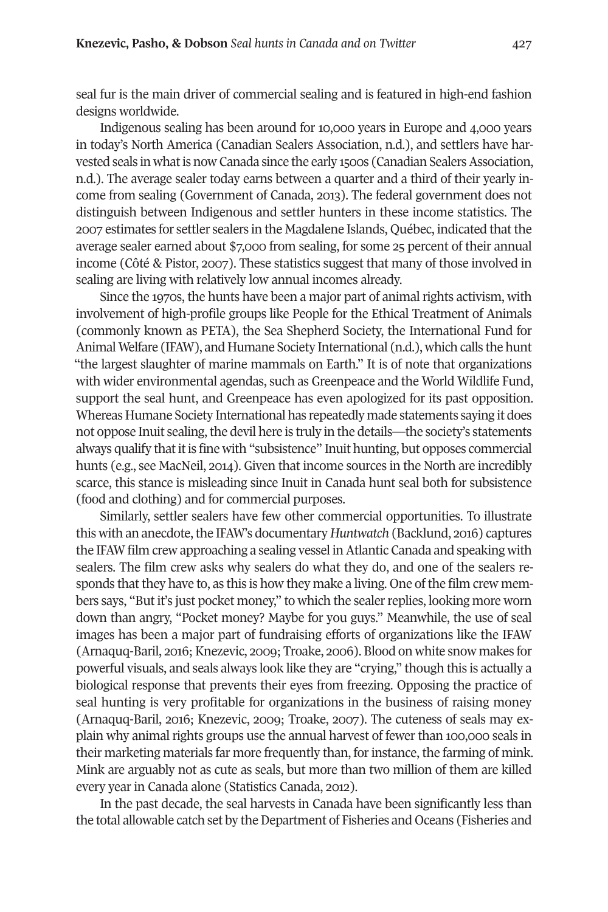seal fur is the main driver of commercial sealing and is featured in high-end fashion designs worldwide.

Indigenous sealing has been around for 10,000 years in Europe and 4,000 years in today's North America (Canadian Sealers Association, n.d.), and settlers have harvested seals in what is now Canada since the early 1500s (Canadian Sealers Association, n.d.). The average sealer today earns between a quarter and a third of their yearly income from sealing (Government of Canada, 2013). The federal government does not distinguish between Indigenous and settler hunters in these income statistics. The 2007 estimates for settler sealers in the Magdalene Islands, Québec, indicated thatthe average sealer earned about \$7,000 from sealing, for some 25 percent of their annual income (Côté & Pistor, 2007). These statistics suggest that many of those involved in sealing are living with relatively low annual incomes already.

Since the 1970s, the hunts have been a major part of animal rights activism, with involvement of high-profile groups like People for the Ethical Treatment of Animals (commonly known as PETA), the Sea Shepherd Society, the International Fund for Animal Welfare (IFAW), and Humane Society International (n.d.), which calls the hunt "the largest slaughter of marine mammals on Earth." It is of note that organizations with wider environmental agendas, such as Greenpeace and the World Wildlife Fund, support the seal hunt, and Greenpeace has even apologized for its past opposition. Whereas Humane Society International has repeatedly made statements saying it does not oppose Inuit sealing, the devil here is truly in the details—the society's statements always qualify that it is fine with "subsistence" Inuit hunting, but opposes commercial hunts (e.g., see MacNeil, 2014). Given that income sources in the North are incredibly scarce, this stance is misleading since Inuit in Canada hunt seal both for subsistence (food and clothing) and for commercial purposes.

Similarly, settler sealers have few other commercial opportunities. To illustrate this with an anecdote, the IFAW's documentary *Huntwatch* (Backlund, 2016) captures the IFAW film crew approaching a sealing vessel inAtlantic Canada and speaking with sealers. The film crew asks why sealers do what they do, and one of the sealers responds that they have to, as this is how they make a living. One of the film crew members says, "But it's just pocket money," to which the sealer replies, looking more worn down than angry, "Pocket money? Maybe for you guys." Meanwhile, the use of seal images has been a major part of fundraising efforts of organizations like the IFAW (Arnaquq-Baril, 2016; Knezevic, 2009; Troake, 2006). Blood on white snow makes for powerful visuals, and seals always look like they are "crying," though this is actually a biological response that prevents their eyes from freezing. Opposing the practice of seal hunting is very profitable for organizations in the business of raising money (Arnaquq-Baril, 2016; Knezevic, 2009; Troake, 2007). The cuteness of seals may explain why animal rights groups use the annual harvest of fewer than 100,000 seals in their marketing materials far more frequently than, for instance, the farming of mink. Mink are arguably not as cute as seals, but more than two million of them are killed every year in Canada alone (Statistics Canada, 2012).

In the past decade, the seal harvests in Canada have been significantly less than the total allowable catch set by the Department of Fisheries and Oceans (Fisheries and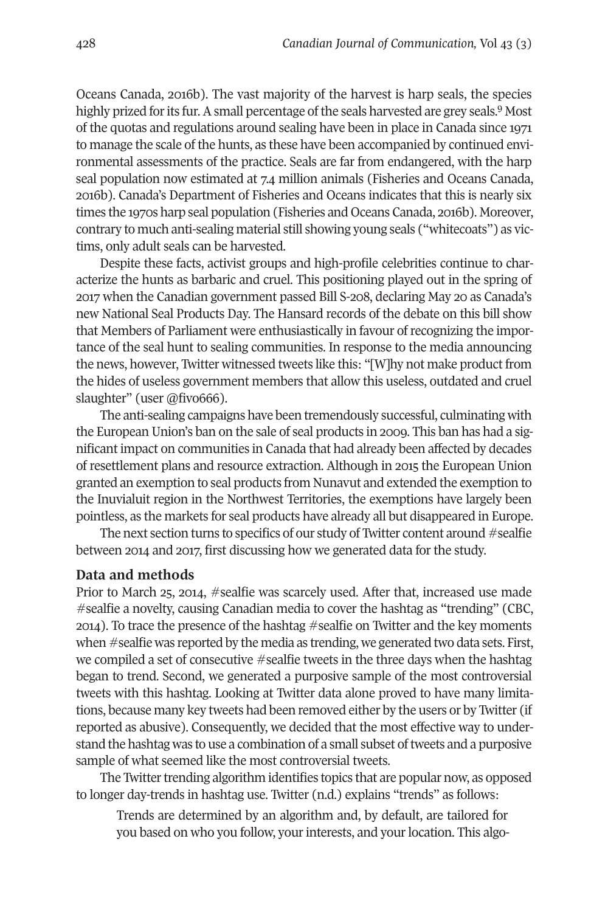Oceans Canada, 2016b). The vast majority of the harvest is harp seals, the [sp](#page-15-1)ecies highly prized for its fur. A small percentage of the seals harvested are grey seals.<sup>9</sup> Most of the quotas and regulations around sealing have been in place in Canada since 1971 to manage the scale of the hunts, as these have been accompanied by continued environmental assessments of the practice. Seals are far from endangered, with the harp seal population now estimated at 7.4 million animals (Fisheries and Oceans Canada, 2016b). Canada's Department of Fisheries and Oceans indicates that this is nearly six times the 1970s harp seal population (Fisheries and Oceans Canada, 2016b). Moreover, contrary to much anti-sealing material still showing young seals ("whitecoats") as victims, only adult seals can be harvested.

Despite these facts, activist groups and high-profile celebrities continue to characterize the hunts as barbaric and cruel. This positioning played out in the spring of 2017 when the Canadian government passed Bill S-208, declaring May 20 as Canada's new National Seal Products Day. The Hansard records of the debate on this bill show that Members of Parliament were enthusiastically in favour of recognizing the importance of the seal hunt to sealing communities. In response to the media announcing the news, however, Twitter witnessed tweets like this: "[W]hy not make product from the hides of useless government members that allow this useless, outdated and cruel slaughter" (user @fivo666).

The anti-sealing campaigns have been tremendously successful, culminating with the European Union's ban on the sale of seal products in 2009. This ban has had a significant impact on communities in Canada that had already been affected by decades of resettlement plans and resource extraction. Although in 2015 the European Union granted an exemption to seal products from Nunavut and extended the exemption to the Inuvialuit region in the Northwest Territories, the exemptions have largely been pointless, as the markets for seal products have already all but disappeared in Europe.

The next section turns to specifics of our study of Twitter content around #sealfie between 2014 and 2017, first discussing how we generated data for the study.

#### **Data and methods**

Prior to March 25, 2014, #sealfie was scarcely used. After that, increased use made #sealfie a novelty, causing Canadian media to cover the hashtag as "trending" (CBC, 2014). To trace the presence of the hashtag #sealfie on Twitter and the key moments when #sealfie was reported by the media as trending, we generated two data sets. First, we compiled a set of consecutive #sealfie tweets in the three days when the hashtag began to trend. Second, we generated a purposive sample of the most controversial tweets with this hashtag. Looking at Twitter data alone proved to have many limitations, because many key tweets had been removed either by the users or by Twitter (if reported as abusive). Consequently, we decided that the most effective way to understand the hashtag was to use a combination of a small subset oftweets and a purposive sample of what seemed like the most controversial tweets.

The Twitter trending algorithm identifies topics that are popular now, as opposed to longer day-trends in hashtag use. Twitter (n.d.) explains "trends" as follows:

Trends are determined by an algorithm and, by default, are tailored for you based on who you follow, your interests, and your location. This algo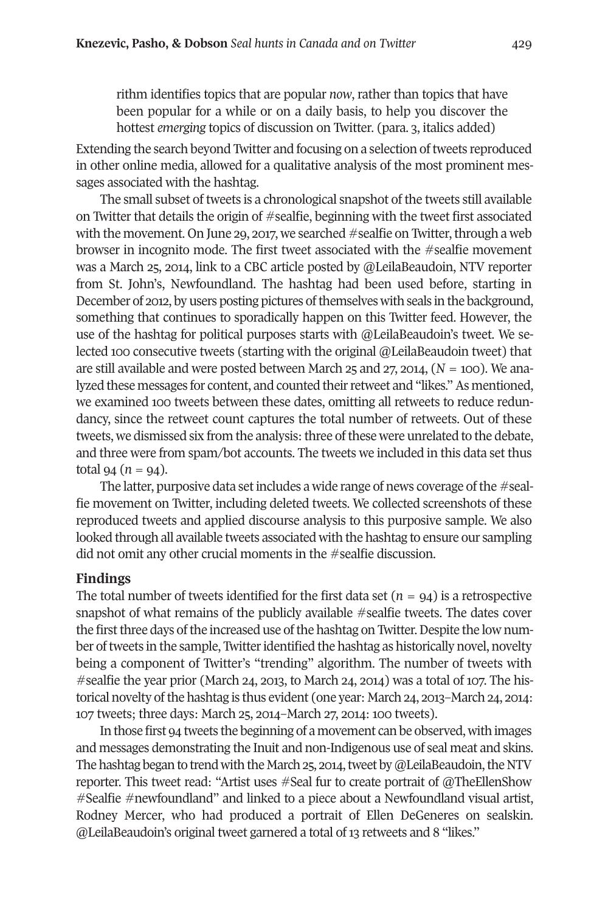rithm identifies topics that are popular *now*, rather than topics that have been popular for a while or on a daily basis, to help you discover the hottest *emerging* topics of discussion on Twitter. (para. 3, italics added)

Extending the search beyond Twitter and focusing on a selection of tweets reproduced in other online media, allowed for a qualitative analysis of the most prominent messages associated with the hashtag.

The small subset of tweets is a chronological snapshot of the tweets still available on Twitter that details the origin of #sealfie, beginning with the tweet first associated with the movement. On June 29, 2017, we searched  $#$ sealfie on Twitter, through a web browser in incognito mode. The first tweet associated with the #sealfie movement was a March 25, 2014, link to a CBC article posted by @LeilaBeaudoin, NTV reporter from St. John's, Newfoundland. The hashtag had been used before, starting in December of 2012, by users posting pictures of themselves with seals in the background, something that continues to sporadically happen on this Twitter feed. However, the use of the hashtag for political purposes starts with @LeilaBeaudoin's tweet. We selected 100 consecutive tweets (starting with the original @LeilaBeaudoin tweet) that are still available and were posted between March 25 and 27, 2014, (*N* = 100). We analyzed these messages for content, and counted their retweet and "likes." As mentioned, we examined 100 tweets between these dates, omitting all retweets to reduce redundancy, since the retweet count captures the total number of retweets. Out of these tweets, we dismissed six from the analysis: three of these were unrelated to the debate, and three were from spam/bot accounts. The tweets we included in this data set thus  $total\ 94\ (n = 94).$ 

The latter, purposive data set includes a wide range of news coverage of the  $\#$ sealfie movement on Twitter, including deleted tweets. We collected screenshots of these reproduced tweets and applied discourse analysis to this purposive sample. We also looked through all available tweets associated with the hashtag to ensure our sampling did not omit any other crucial moments in the #sealfie discussion.

#### **Findings**

The total number of tweets identified for the first data set  $(n = 94)$  is a retrospective snapshot of what remains of the publicly available #sealfie tweets. The dates cover the first three days of the increased use of the hashtag on Twitter. Despite the low number oftweets in the sample, Twitteridentified the hashtag as historically novel, novelty being a component of Twitter's "trending" algorithm. The number of tweets with #sealfie the year prior (March 24, 2013, to March 24, 2014) was a total of 107. The historical novelty of the hashtag is thus evident (one year: March 24, 2013–March 24, 2014: 107 tweets; three days: March 25, 2014–March 27, 2014: 100 tweets).

In those first 94 tweets the beginning of a movement can be observed, with images and messages demonstrating the Inuit and non-Indigenous use of seal meat and skins. The hashtag began to trend with the March 25, 2014, tweet by @LeilaBeaudoin, the NTV reporter. This tweet read: "Artist uses #Seal fur to create portrait of @TheEllenShow #Sealfie #newfoundland" and linked to a piece about a Newfoundland visual artist, Rodney Mercer, who had produced a portrait of Ellen DeGeneres on sealskin. @LeilaBeaudoin's original tweet garnered a total of 13 retweets and 8 "likes."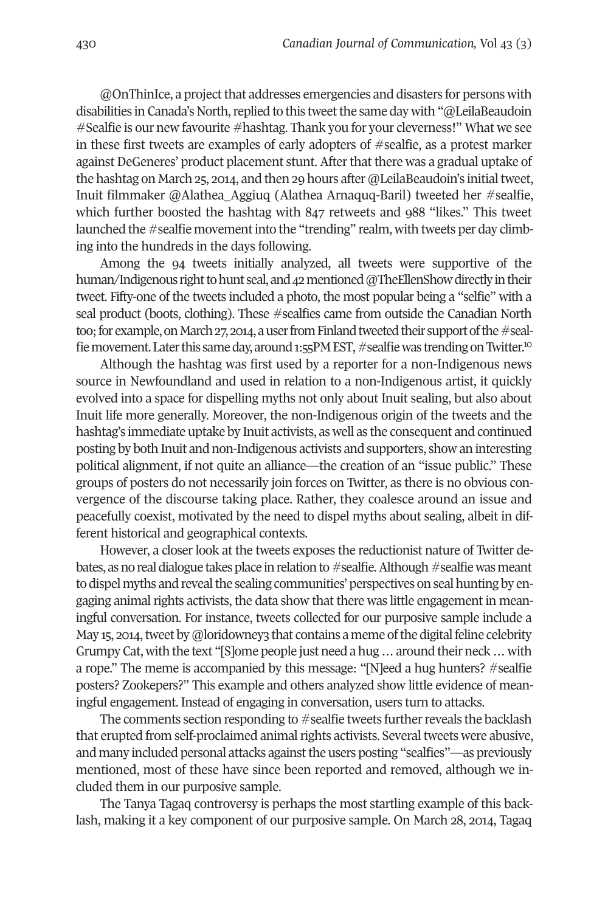@OnThinIce, a project that addresses emergencies and disasters for persons with disabilities in Canada's North, replied to this tweet the same day with "@LeilaBeaudoin" #Sealfie is our new favourite #hashtag. Thank you for your cleverness!" What we see in these first tweets are examples of early adopters of #sealfie, as a protest marker against DeGeneres' product placement stunt. Afterthat there was a gradual uptake of the hashtag on March 25, 2014, and then 29 hours after @LeilaBeaudoin's initial tweet, Inuit filmmaker @Alathea\_Aggiuq (Alathea Arnaquq-Baril) tweeted her #sealfie, which further boosted the hashtag with 847 retweets and 988 "likes." This tweet launched the #sealfie movementinto the "trending" realm, with tweets per day climbing into the hundreds in the days following.

Among the 94 tweets initially analyzed, all tweets were supportive of the human/Indigenous right to hunt seal, and  $42$  mentioned @TheEllenShow directly in their tweet. Fifty-one of the tweets included a photo, the most popular being a "selfie" with a seal product (boots, clothing). These #sealfies came from outside the Canadian North too; for example, on March 27, 2014, a user from Finland tweeted their support of the #se[al](#page-15-2)fie movement. Later this same day, around 1:55PM EST, #sealfie was trending on Twitter.<sup>10</sup>

Although the hashtag was first used by a reporter for a non-Indigenous news source in Newfoundland and used in relation to a non-Indigenous artist, it quickly evolved into a space for dispelling myths not only about Inuit sealing, but also about Inuit life more generally. Moreover, the non-Indigenous origin of the tweets and the hashtag's immediate uptake by Inuit activists, as well as the consequent and continued posting by both Inuit and non-Indigenous activists and supporters, show an interesting political alignment, if not quite an alliance—the creation of an "issue public." These groups of posters do not necessarily join forces on Twitter, as there is no obvious convergence of the discourse taking place. Rather, they coalesce around an issue and peacefully coexist, motivated by the need to dispel myths about sealing, albeit in different historical and geographical contexts.

However, a closer look at the tweets exposes the reductionist nature of Twitter debates, as no real dialogue takes place in relation to #sealfie. Although #sealfie was meant to dispel myths and reveal the sealing communities' perspectives on seal hunting by engaging animal rights activists, the data show that there was little engagement in meaningful conversation. For instance, tweets collected for our purposive sample include a May 15, 2014, tweet by @loridowney3 that contains a meme of the digital feline celebrity Grumpy Cat, with the text "[S]ome people just need a hug…around their neck…with a rope." The meme is accompanied by this message: "[N]eed a hug hunters? #sealfie posters? Zookepers?" This example and others analyzed show little evidence of meaningful engagement. Instead of engaging in conversation, users turn to attacks.

The comments section responding to  $#$  sealfie tweets further reveals the backlash that erupted from self-proclaimed animal rights activists. Several tweets were abusive, and many included personal attacks against the users posting "sealfies"—as previously mentioned, most of these have since been reported and removed, although we included them in our purposive sample.

The Tanya Tagaq controversy is perhaps the most startling example of this backlash, making it a key component of our purposive sample. On March 28, 2014, Tagaq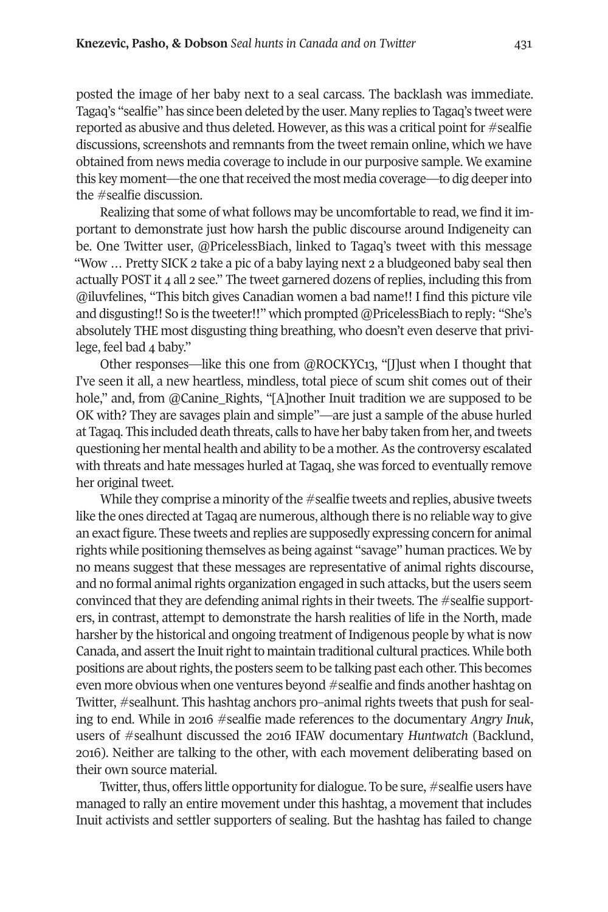posted the image of her baby next to a seal carcass. The backlash was immediate. Tagaq's "sealfie" has since been deleted by the user. Many replies to Tagaq's tweet were reported as abusive and thus deleted. However, as this was a critical point for #sealfie discussions, screenshots and remnants from the tweet remain online, which we have obtained from news media coverage to include in our purposive sample. We examine this key moment—the one that received the most media coverage—to dig deeper into the #sealfie discussion.

Realizing that some of what follows may be uncomfortable to read, we find it important to demonstrate just how harsh the public discourse around Indigeneity can be. One Twitter user, @PricelessBiach, linked to Tagaq's tweet with this message "Wow … Pretty SICK 2 take a pic of a baby laying next 2 a bludgeoned baby seal then actually POST it 4 all 2 see." The tweet garnered dozens of replies, including this from @iluvfelines, "This bitch gives Canadian women a bad name!! I find this picture vile and disgusting!! So is the tweeter!!" which prompted @PricelessBiach to reply: "She's absolutely THE most disgusting thing breathing, who doesn't even deserve that privilege, feel bad 4 baby."

Other responses—like this one from @ROCKYC13, "[J]ust when I thought that I've seen it all, a new heartless, mindless, total piece of scum shit comes out of their hole," and, from @Canine\_Rights, "[A]nother Inuit tradition we are supposed to be OK with? They are savages plain and simple"—are just a sample of the abuse hurled at Tagaq. This included death threats, calls to have her baby taken from her, and tweets questioning her mental health and ability to be a mother.As the controversy escalated with threats and hate messages hurled at Tagaq, she was forced to eventually remove her original tweet.

While they comprise a minority of the  $#$  sealfie tweets and replies, abusive tweets like the ones directed at Tagaq are numerous, although there is no reliable way to give an exact figure. These tweets and replies are supposedly expressing concern for animal rights while positioning themselves as being against "savage" human practices. We by no means suggest that these messages are representative of animal rights discourse, and no formal animal rights organization engaged in such attacks, but the users seem convinced that they are defending animal rights in their tweets. The  $\#$ sealfie supporters, in contrast, attempt to demonstrate the harsh realities of life in the North, made harsher by the historical and ongoing treatment of Indigenous people by what is now Canada, and assert the Inuit right to maintain traditional cultural practices. While both positions are about rights, the posters seem to be talking past each other. This becomes even more obvious when one ventures beyond #sealfie and finds another hashtag on Twitter, #sealhunt. This hashtag anchors pro–animal rights tweets that push for sealing to end. While in 2016 #sealfie made references to the documentary *Angry Inuk*, users of #sealhunt discussed the 2016 IFAW documentary *Huntwatch* (Backlund, 2016)*.* Neither are talking to the other, with each movement deliberating based on their own source material.

Twitter, thus, offers little opportunity for dialogue. To be sure, #sealfie users have managed to rally an entire movement under this hashtag, a movement that includes Inuit activists and settler supporters of sealing. But the hashtag has failed to change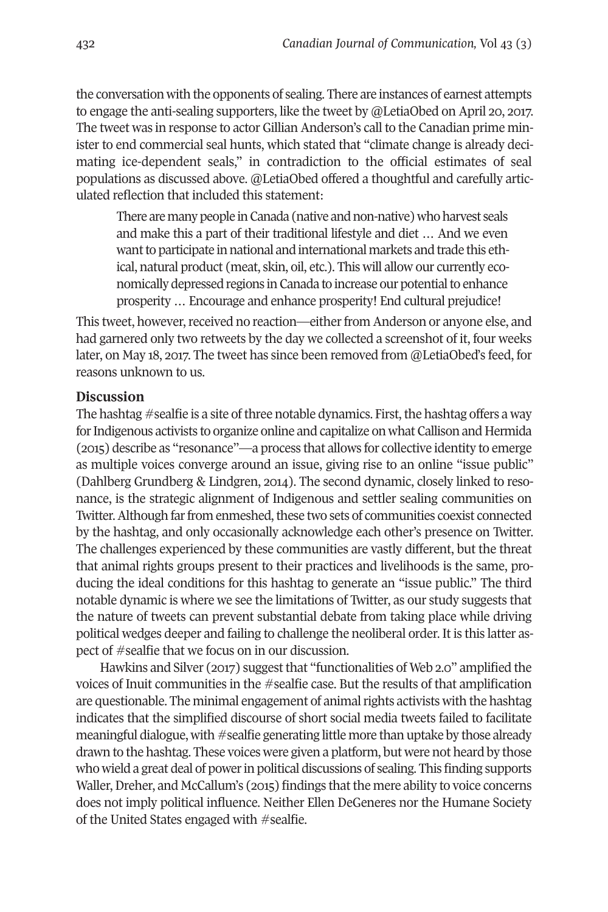the conversation with the opponents of sealing. There are instances of earnest attempts to engage the anti-sealing supporters, like the tweet by @LetiaObed on April 20, 2017. The tweet was in response to actor Gillian Anderson's call to the Canadian prime minister to end commercial seal hunts, which stated that "climate change is already decimating ice-dependent seals," in contradiction to the official estimates of seal populations as discussed above. @LetiaObed offered a thoughtful and carefully articulated reflection that included this statement:

There are many people in Canada (native and non-native) who harvest seals and make this a part of their traditional lifestyle and diet … And we even want to participate in national and international markets and trade this ethical, natural product (meat, skin, oil, etc.). This will allow our currently economically depressed regions in Canada to increase our potential to enhance prosperity … Encourage and enhance prosperity! End cultural prejudice!

This tweet, however, received no reaction—either from Anderson or anyone else, and had garnered only two retweets by the day we collected a screenshot of it, four weeks later, on May 18, 2017. The tweet has since been removed from @LetiaObed's feed, for reasons unknown to us.

#### **Discussion**

The hashtag  $\#$ sealfie is a site of three notable dynamics. First, the hashtag offers a way for Indigenous activists to organize online and capitalize on what Callison and Hermida (2015) describe as "resonance"—a process that allows for collective identity to emerge as multiple voices converge around an issue, giving rise to an online "issue public" (Dahlberg Grundberg & Lindgren, 2014). The second dynamic, closely linked to resonance, is the strategic alignment of Indigenous and settler sealing communities on Twitter. Although far from enmeshed, these two sets of communities coexist connected by the hashtag, and only occasionally acknowledge each other's presence on Twitter. The challenges experienced by these communities are vastly different, but the threat that animal rights groups present to their practices and livelihoods is the same, producing the ideal conditions for this hashtag to generate an "issue public." The third notable dynamic is where we see the limitations of Twitter, as our study suggests that the nature of tweets can prevent substantial debate from taking place while driving political wedges deeper and failing to challenge the neoliberal order. It is this latter aspect of #sealfie that we focus on in our discussion.

Hawkins and Silver (2017) suggest that "functionalities of Web 2.0" amplified the voices of Inuit communities in the #sealfie case. But the results of that amplification are questionable. The minimal engagement of animal rights activists with the hashtag indicates that the simplified discourse of short social media tweets failed to facilitate meaningful dialogue, with #sealfie generating little more than uptake by those already drawn to the hashtag. These voices were given a platform, but were not heard by those who wield a great deal of powerin political discussions of sealing. This finding supports Waller, Dreher, and McCallum's (2015) findings that the mere ability to voice concerns does not imply political influence. Neither Ellen DeGeneres nor the Humane Society of the United States engaged with #sealfie.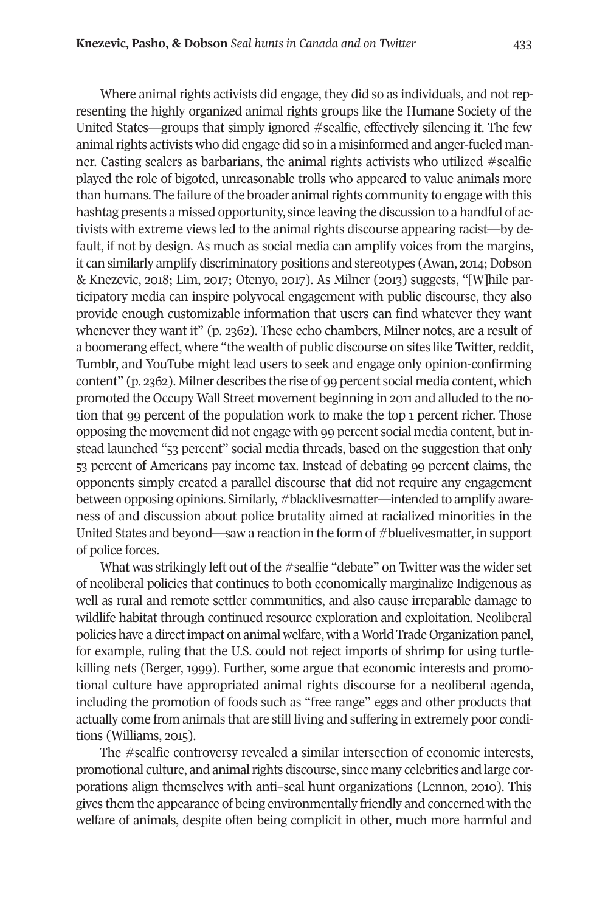Where animal rights activists did engage, they did so as individuals, and not representing the highly organized animal rights groups like the Humane Society of the United States—groups that simply ignored #sealfie, effectively silencing it. The few animal rights activists who did engage did so in a misinformed and anger-fueled manner. Casting sealers as barbarians, the animal rights activists who utilized #sealfie played the role of bigoted, unreasonable trolls who appeared to value animals more than humans. The failure of the broader animal rights community to engage with this hashtag presents a missed opportunity, since leaving the discussion to a handful of activists with extreme views led to the animal rights discourse appearing racist—by default, if not by design. As much as social media can amplify voices from the margins, it can similarly amplify discriminatory positions and stereotypes (Awan, 2014; Dobson & Knezevic, 2018; Lim, 2017; Otenyo, 2017). As Milner (2013) suggests, "[W]hile participatory media can inspire polyvocal engagement with public discourse, they also provide enough customizable information that users can find whatever they want whenever they want it" (p. 2362). These echo chambers, Milner notes, are a result of a boomerang effect, where "the wealth of public discourse on sites like Twitter, reddit, Tumblr, and YouTube might lead users to seek and engage only opinion-confirming content" (p. 2362). Milner describes the rise of 99 percent social media content, which promoted the Occupy Wall Street movement beginning in 2011 and alluded to the notion that 99 percent of the population work to make the top 1 percent richer. Those opposing the movement did not engage with 99 percent social media content, but instead launched "53 percent" social media threads, based on the suggestion that only 53 percent of Americans pay income tax. Instead of debating 99 percent claims, the opponents simply created a parallel discourse that did not require any engagement between opposing opinions. Similarly, #blacklivesmatter—intended to amplify awareness of and discussion about police brutality aimed at racialized minorities in the United States and beyond—saw a reaction in the form of #bluelivesmatter, in support of police forces.

What was strikingly left out of the #sealfie "debate" on Twitter was the wider set of neoliberal policies that continues to both economically marginalize Indigenous as well as rural and remote settler communities, and also cause irreparable damage to wildlife habitat through continued resource exploration and exploitation. Neoliberal policies have a directimpact on animal welfare, with a World Trade Organization panel, for example, ruling that the U.S. could not reject imports of shrimp for using turtlekilling nets (Berger, 1999). Further, some argue that economic interests and promotional culture have appropriated animal rights discourse for a neoliberal agenda, including the promotion of foods such as "free range" eggs and other products that actually come from animals that are still living and suffering in extremely poor conditions (Williams, 2015).

The #sealfie controversy revealed a similar intersection of economic interests, promotional culture, and animalrights discourse, since many celebrities and large corporations align themselves with anti–seal hunt organizations (Lennon, 2010). This gives them the appearance of being environmentally friendly and concerned with the welfare of animals, despite often being complicit in other, much more harmful and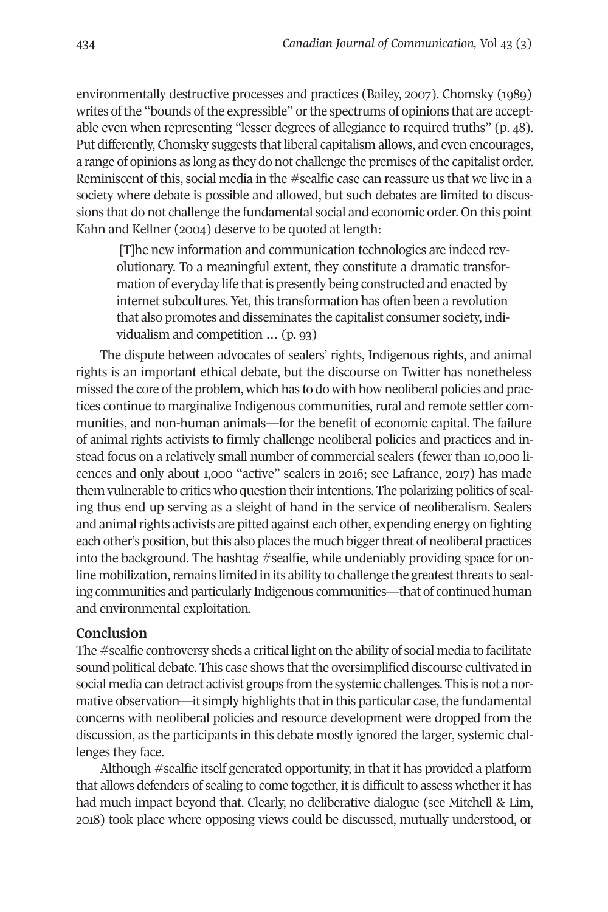environmentally destructive processes and practices (Bailey, 2007). Chomsky (1989) writes of the "bounds of the expressible" or the spectrums of opinions that are acceptable even when representing "lesser degrees of allegiance to required truths" (p. 48). Put differently, Chomsky suggests that liberal capitalism allows, and even encourages, a range of opinions as long as they do not challenge the premises ofthe capitalist order. Reminiscent of this, social media in the #sealfie case can reassure us that we live in a society where debate is possible and allowed, but such debates are limited to discussions that do not challenge the fundamental social and economic order. On this point Kahn and Kellner (2004) deserve to be quoted at length:

[T]he new information and communication technologies are indeed revolutionary. To a meaningful extent, they constitute a dramatic transformation of everyday life that is presently being constructed and enacted by internet subcultures. Yet, this transformation has often been a revolution that also promotes and disseminates the capitalist consumer society, individualism and competition … (p. 93)

The dispute between advocates of sealers' rights, Indigenous rights, and animal rights is an important ethical debate, but the discourse on Twitter has nonetheless missed the core ofthe problem, which has to do with how neoliberal policies and practices continue to marginalize Indigenous communities, rural and remote settler communities, and non-human animals—for the benefit of economic capital. The failure of animal rights activists to firmly challenge neoliberal policies and practices and instead focus on a relatively small number of commercial sealers (fewer than 10,000 licences and only about 1,000 "active" sealers in 2016; see Lafrance, 2017) has made them vulnerable to critics who question their intentions. The polarizing politics of sealing thus end up serving as a sleight of hand in the service of neoliberalism. Sealers and animal rights activists are pitted against each other, expending energy on fighting each other's position, butthis also places the much biggerthreat of neoliberal practices into the background. The hashtag #sealfie, while undeniably providing space for online mobilization, remains limited in its ability to challenge the greatest threats to sealing communities and particularly Indigenous communities—that of continued human and environmental exploitation.

#### **Conclusion**

The #sealfie controversy sheds a critical light on the ability of social media to facilitate sound political debate. This case shows that the oversimplified discourse cultivated in social media can detract activist groups from the systemic challenges. This is not a normative observation—it simply highlights that in this particular case, the fundamental concerns with neoliberal policies and resource development were dropped from the discussion, as the participants in this debate mostly ignored the larger, systemic challenges they face.

Although #sealfie itself generated opportunity, in that it has provided a platform that allows defenders of sealing to come together, it is difficult to assess whether it has had much impact beyond that. Clearly, no deliberative dialogue (see Mitchell & Lim, 2018) took place where opposing views could be discussed, mutually understood, or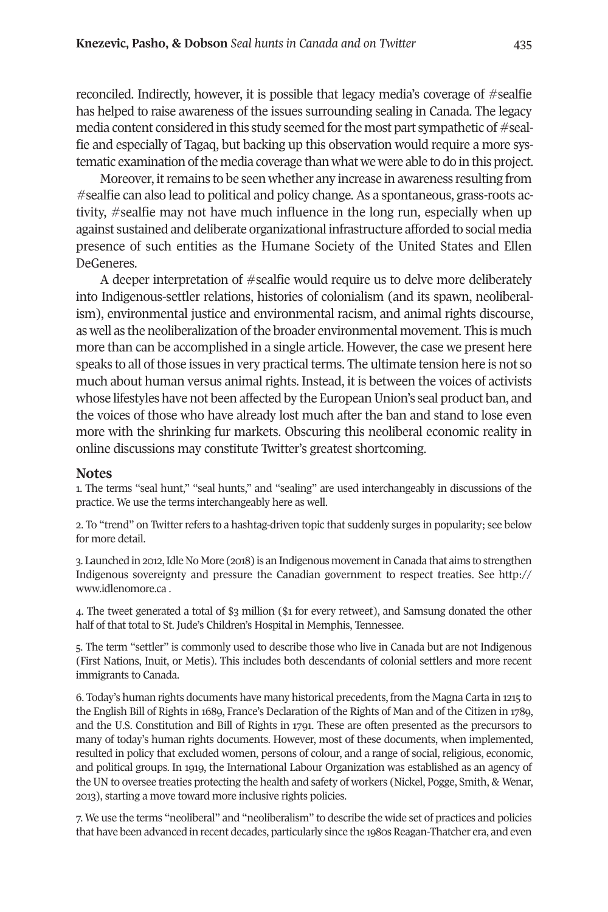reconciled. Indirectly, however, it is possible that legacy media's coverage of #sealfie has helped to raise awareness of the issues surrounding sealing in Canada. The legacy media content considered in this study seemed forthe most part sympathetic of #sealfie and especially of Tagaq, but backing up this observation would require a more systematic examination of the media coverage than what we were able to do in this project.

Moreover, it remains to be seen whether any increase in awareness resulting from #sealfie can also lead to political and policy change. As a spontaneous, grass-roots activity, #sealfie may not have much influence in the long run, especially when up against sustained and deliberate organizational infrastructure afforded to social media presence of such entities as the Humane Society of the United States and Ellen DeGeneres.

A deeper interpretation of #sealfie would require us to delve more deliberately into Indigenous-settler relations, histories of colonialism (and its spawn, neoliberalism), environmental justice and environmental racism, and animal rights discourse, as well as the neoliberalization of the broader environmental movement. This is much more than can be accomplished in a single article. However, the case we present here speaks to all of those issues in very practical terms. The ultimate tension here is not so much about human versus animal rights. Instead, it is between the voices of activists whose lifestyles have not been affected by the European Union's seal product ban, and the voices of those who have already lost much after the ban and stand to lose even more with the shrinking fur markets. Obscuring this neoliberal economic reality in online discussions may constitute Twitter's greatest shortcoming.

#### <span id="page-14-1"></span><span id="page-14-0"></span>**Notes**

1. The terms "seal hunt," "seal hunts," and "sealing" are used interchangeably in discussions of the practice. We use the terms interchangeably here as well.

2. To "trend" on Twitter refers to a hashtag-driven topic that suddenly surges in popularity; see below for more detail.

<span id="page-14-2"></span>3. Launched in 2012,Idle No More (2018) is an Indigenous movementin Canada that aims to strengthen Indigenous sovereignty and pressure the Canadian government to respect treaties. See [http://](http://www.idlenomore.ca) [www.idlenomore.ca](http://www.idlenomore.ca) .

<span id="page-14-3"></span>4. The tweet generated a total of \$3 million (\$1 for every retweet), and Samsung donated the other half of that total to St. Jude's Children's Hospital in Memphis, Tennessee.

<span id="page-14-4"></span>5. The term "settler" is commonly used to describe those who live in Canada but are not Indigenous (First Nations, Inuit, or Metis). This includes both descendants of colonial settlers and more recent immigrants to Canada.

<span id="page-14-5"></span>6. Today's human rights documents have many historical precedents, from the Magna Carta in 1215 to the English Bill of Rights in 1689, France's Declaration of the Rights of Man and of the Citizen in 1789, and the U.S. Constitution and Bill of Rights in 1791. These are often presented as the precursors to many of today's human rights documents. However, most of these documents, when implemented, resulted in policy that excluded women, persons of colour, and a range of social, religious, economic, and political groups. In 1919, the International Labour Organization was established as an agency of the UN to oversee treaties protecting the health and safety of workers (Nickel, Pogge, Smith, & Wenar, 2013), starting a move toward more inclusive rights policies.

<span id="page-14-6"></span>7. We use the terms "neoliberal" and "neoliberalism" to describe the wide set of practices and policies that have been advanced in recent decades, particularly since the 1980s Reagan-Thatcher era, and even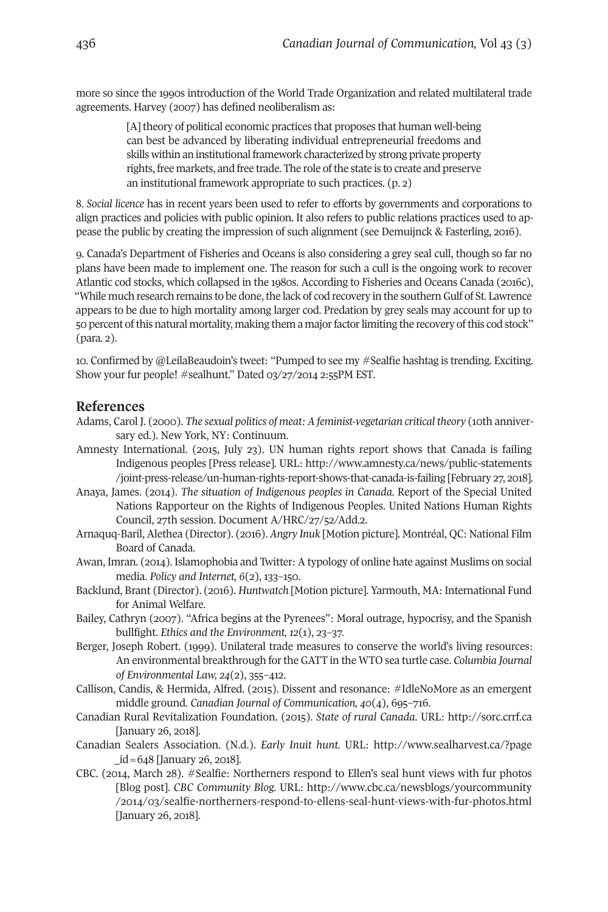more so since the 1990s introduction of the World Trade Organization and related multilateral trade agreements. Harvey (2007) has defined neoliberalism as:

> <span id="page-15-2"></span><span id="page-15-1"></span><span id="page-15-0"></span>[A] theory of political economic practices that proposes that human well-being can best be advanced by liberating individual entrepreneurial freedoms and skills within an institutional framework characterized by strong private property rights, free markets, and free trade. The role of the state is to create and preserve an institutional framework appropriate to such practices. (p. 2)

8. *Social licence* has in recent years been used to refer to efforts by governments and corporations to align practices and policies with public opinion. It also refers to public relations practices used to appease the public by creating the impression of such alignment (see Demuijnck & Fasterling, 2016).

9. Canada's Department of Fisheries and Oceans is also considering a grey seal cull, though so far no plans have been made to implement one. The reason for such a cull is the ongoing work to recover Atlantic cod stocks, which collapsed in the 1980s. According to Fisheries and Oceans Canada (2016c), "While much research remains to be done, the lack of cod recovery in the southern Gulf of St. Lawrence appears to be due to high mortality among larger cod. Predation by grey seals may account for up to 50 percent of this natural mortality, making them a major factor limiting the recovery of this cod stock" (para. 2).

10. Confirmed by @LeilaBeaudoin's tweet: "Pumped to see my #Sealfie hashtag is trending. Exciting. Show your fur people! #sealhunt." Dated 03/27/2014 2:55PM EST.

#### **References**

- Adams, Carol J. (2000). *The sexual politics of meat: A feminist-vegetarian critical theory* (10th anniversary ed.). New York, NY: Continuum.
- Amnesty International. (2015, July 23). UN human rights report shows that Canada is failing Indigenous peoples [Press release]. URL: [http://www.amnesty.ca/news/public-statements](http://www.amnesty.ca/news/public-statements/joint-press-release/un-human-rights-report-shows-that-canada-is-failing ) [/joint-press-release/un-human-rights-report-shows-that-canada-is-failing](http://www.amnesty.ca/news/public-statements/joint-press-release/un-human-rights-report-shows-that-canada-is-failing ) [February 27, 2018].
- Anaya, James. (2014). *The situation of Indigenous peoples in Canada.* Report of the Special United Nations Rapporteur on the Rights of Indigenous Peoples. United Nations Human Rights Council, 27th session. Document A/HRC/27/52/Add.2.
- Arnaquq-Baril, Alethea (Director). (2016). *Angry Inuk* [Motion picture]. Montréal, QC: National Film Board of Canada.
- Awan, Imran. (2014). Islamophobia and Twitter: A typology of online hate against Muslims on social media. *Policy and Internet, 6*(2), 133–150.
- Backlund, Brant (Director). (2016). *Huntwatch* [Motion picture]. Yarmouth, MA: International Fund for Animal Welfare.
- Bailey, Cathryn (2007). "Africa begins at the Pyrenees": Moral outrage, hypocrisy, and the Spanish bullfight. *Ethics and the Environment, 12*(1), 23–37.
- Berger, Joseph Robert. (1999). Unilateral trade measures to conserve the world's living resources: An environmental breakthrough forthe GATT in the WTO sea turtle case. *Columbia Journal of Environmental Law, 24*(2), 355–412.
- Callison, Candis, & Hermida, Alfred. (2015). Dissent and resonance: #IdleNoMore as an emergent middle ground. *Canadian Journal of Communication, 40*(4), 695–716.
- Canadian Rural Revitalization Foundation. (2015). *State of rural Canada*. URL: [http://sorc.crrf.ca](http://sorc.crrf.ca ) [January 26, 2018].
- Canadian Sealers [Association.](http://sorc.crrf.ca ) (N.d.). *Early Inuit hunt.* URL: [http://www.sealharvest.ca/?page](http://www.sealharvest.ca/?page_id=648) [\\_id=648](http://www.sealharvest.ca/?page_id=648) [January 26, 2018].
- CBC. (2014, March 28). #Sealfie: Northerners respond to Ellen's seal hunt views with fur photos [Blog post]. *CBC Community Blog.* URL: [http://www.cbc.ca/newsblogs/yourcommunity](http://www.cbc.ca/newsblogs/yourcommunity/2014/03/sealfie-northerners-respond-to-ellens-seal-hunt-views-with-fur-photos.html) [/2014/03/sealfie-northerners-respond-to-ellens-seal-hunt-views-with-fur-photos.html](http://www.cbc.ca/newsblogs/yourcommunity/2014/03/sealfie-northerners-respond-to-ellens-seal-hunt-views-with-fur-photos.html) [January 26, 2018].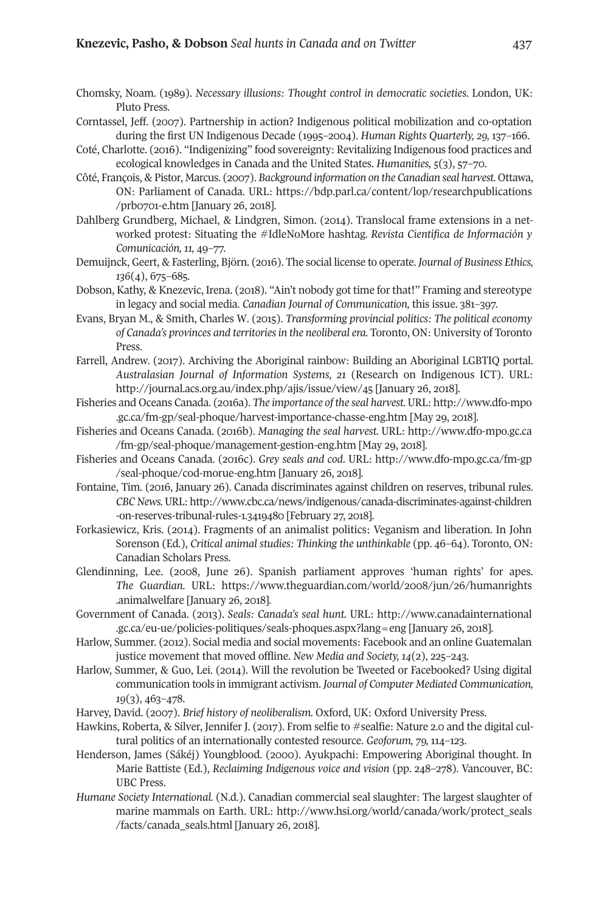- Chomsky, Noam. (1989). *Necessary illusions: Thought control in democratic societies*. London, UK: Pluto Press.
- Corntassel, Jeff. (2007). Partnership in action? Indigenous political mobilization and co-optation during the first UN Indigenous Decade (1995–2004). *Human Rights Quarterly, 29,* 137–166.
- Coté, Charlotte. (2016). "Indigenizing" food sovereignty: Revitalizing Indigenous food practices and ecological knowledges in Canada and the United States. *Humanities, 5*(3), 57–70.
- Côté, François, & Pistor, Marcus. (2007). *Background information on the Canadian seal harvest.* Ottawa, ON: Parliament of Canada. URL: [https://bdp.parl.ca/content/lop/researchpublications](https://bdp.parl.ca/content/lop/researchpublications/prb0701-e.htm) [/prb0701-e.htm](https://bdp.parl.ca/content/lop/researchpublications/prb0701-e.htm) [January 26, 2018].
- Dahlberg Grundberg, Michael, & Lindgren, Simon. (2014). Translocal frame extensions in a networked protest: Situating the #IdleNoMore hashtag*. Revista Científica de Información y Comunicación, 11,* 49–77.
- Demuijnck, Geert, & Fasterling, Björn. (2016). The social license to operate. *Journal of Business Ethics, 136*(4), 675–685.
- Dobson, Kathy, & Knezevic, Irena. (2018). "Ain't nobody got time for that!" Framing and stereotype in legacy and social media. *Canadian Journal of Communication,* this issue. 381–397.
- Evans, Bryan M., & Smith, Charles W. (2015). *Transforming provincial politics: The political economy of Canada's provinces and territoriesin the neoliberal era.* Toronto, ON: University of Toronto Press.
- Farrell, Andrew. (2017). Archiving the Aboriginal rainbow: Building an Aboriginal LGBTIQ portal. *Australasian Journal of Information Systems, 21* (Research on Indigenous ICT). URL: <http://journal.acs.org.au/index.php/ajis/issue/view/45> [January 26, 2018].
- Fisheries and Oceans Canada. (2016a). *The importance of the seal harvest.* URL: [http://www.dfo-mpo](http://www.dfo-mpo.gc.ca/fm-gp/seal-phoque/harvest-importance-chasse-eng.htm) [.gc.ca/fm-gp/seal-phoque/harvest-importance-chasse-eng.htm](http://www.dfo-mpo.gc.ca/fm-gp/seal-phoque/harvest-importance-chasse-eng.htm) [May 29, 2018].
- Fisheries and Oceans Canada. (2016b). *Managing the seal harvest.* URL: [http://www.dfo-mpo.gc.ca](http://www.dfo-mpo.gc.ca/fm-gp/seal-phoque/management-gestion-eng.htm) [/fm-gp/seal-phoque/management-gestion-eng.htm](http://www.dfo-mpo.gc.ca/fm-gp/seal-phoque/management-gestion-eng.htm) [May 29, 2018].
- Fisheries and Oceans Canada. (2016c). *Grey seals and cod*. URL: [http://www.dfo-mpo.gc.ca/fm-gp](http://www.dfo-mpo.gc.ca/fm-gp/seal-phoque/cod-morue-eng.htm) [/seal-phoque/cod-morue-eng.htm](http://www.dfo-mpo.gc.ca/fm-gp/seal-phoque/cod-morue-eng.htm) [January 26, 2018].
- Fontaine, Tim. (2016, January 26). Canada discriminates against children on reserves, tribunal rules. *CBCNews.*URL: [http://www.cbc.ca/news/indigenous/canada-discriminates-against-children](http://www.cbc.ca/news/indigenous/canada-discriminates-against-children-on-reserves-tribunal-rules-1.3419480) [-on-reserves-tribunal-rules-1.3419480](http://www.cbc.ca/news/indigenous/canada-discriminates-against-children-on-reserves-tribunal-rules-1.3419480) [February 27, 2018].
- Forkasiewicz, Kris. (2014). Fragments of an animalist politics: Veganism and liberation. In John Sorenson (Ed.), *Critical animal studies: Thinking the unthinkable* (pp. 46–64). Toronto, ON: Canadian Scholars Press.
- Glendinning, Lee. (2008, June 26). Spanish parliament approves 'human rights' for apes. *The Guardian.* URL: [https://www.theguardian.com/world/2008/jun/26/humanrights](https://www.theguardian.com/world/2008/jun/26/humanrights.animalwelfare) [.animalwelfare](https://www.theguardian.com/world/2008/jun/26/humanrights.animalwelfare) [January 26, 2018].
- Government of Canada. (2013). *Seals: Canada's seal hunt.* URL: [http://www.canadainternational](http://www.canadainternational.gc.ca/eu-ue/policies-politiques/seals-phoques.aspx?lang=eng) [.gc.ca/eu-ue/policies-politiques/seals-phoques.aspx?lang=eng](http://www.canadainternational.gc.ca/eu-ue/policies-politiques/seals-phoques.aspx?lang=eng) [January 26, 2018].
- Harlow, Summer. (2012). Social media and social movements: Facebook and an online Guatemalan justice movement that moved offline. *New Media and Society, 14*(2), 225–243.
- Harlow, Summer, & Guo, Lei. (2014). Will the revolution be Tweeted or Facebooked? Using digital communication tools in immigrant activism. *Journal of Computer Mediated Communication, 19*(3), 463–478.
- Harvey, David. (2007). *Brief history of neoliberalism.* Oxford, UK: Oxford University Press.
- Hawkins, Roberta, & Silver, Jennifer J. (2017). From selfie to #sealfie: Nature 2.0 and the digital cultural politics of an internationally contested resource. *Geoforum, 79,* 114–123.
- Henderson, James (Sákéj) Youngblood. (2000). Ayukpachi: Empowering Aboriginal thought. In Marie Battiste (Ed.), *Reclaiming Indigenous voice and vision* (pp. 248–278)*.* Vancouver, BC: UBC Press.
- *Humane Society International.* (N.d.). Canadian commercial seal slaughter: The largest slaughter of marine mammals on Earth. URL: [http://www.hsi.org/world/canada/work/protect\\_seals](http://www.hsi.org/world/canada/work/protect_seals/facts/canada_seals.html ) [/facts/canada\\_seals.html](http://www.hsi.org/world/canada/work/protect_seals/facts/canada_seals.html ) [January 26, 2018].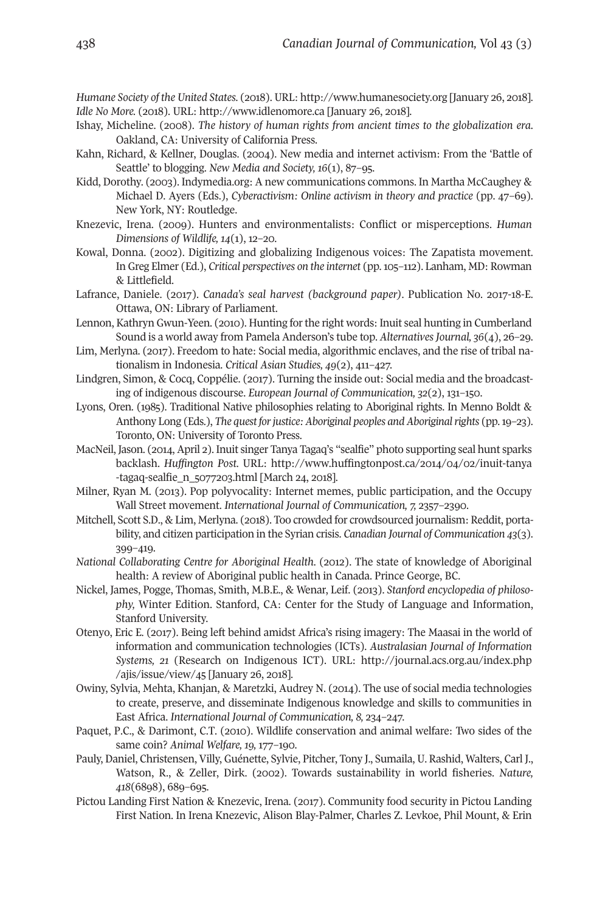*Humane Society of the United States.* (2018). URL: [http://www.humanesociety.org](http://www.humanesociety.org ) [January 26, 2018]. *Idle No More.* (2018). URL: <http://www.idlenomore.ca> [January 26, 2018].

- Ishay, Micheline. (2008). *The history of human rights from ancient times to the globalization era*. Oakland, CA: University of California Press.
- Kahn, Richard, & Kellner, Douglas. (2004). New media and internet activism: From the 'Battle of Seattle' to blogging. *New Media and Society, 16*(1), 87–95.
- Kidd, Dorothy. (2003). Indymedia.org: A new communications commons. In Martha McCaughey & Michael D. Ayers (Eds.), *Cyberactivism: Online activism in theory and practice* (pp. 47–69). New York, NY: Routledge.
- Knezevic, Irena. (2009). Hunters and environmentalists: Conflict or misperceptions. *Human Dimensions of Wildlife, 14*(1), 12–20.
- Kowal, Donna. (2002). Digitizing and globalizing Indigenous voices: The Zapatista movement. In Greg Elmer (Ed.), *Critical perspectives on the internet* (pp.105–112). Lanham, MD: Rowman & Littlefield.
- Lafrance, Daniele. (2017). *Canada's seal harvest (background paper)*. Publication No. 2017-18-E. Ottawa, ON: Library of Parliament.
- Lennon, Kathryn Gwun-Yeen. (2010). Hunting forthe right words: Inuit seal hunting in Cumberland Sound is a world away from Pamela Anderson's tube top. *AlternativesJournal, 36*(4), 26–29.
- Lim, Merlyna. (2017). Freedom to hate: Social media, algorithmic enclaves, and the rise of tribal nationalism in Indonesia. *Critical Asian Studies, 49*(2), 411–427.
- Lindgren, Simon, & Cocq, Coppélie. (2017). Turning the inside out: Social media and the broadcasting of indigenous discourse. *European Journal of Communication, 32*(2), 131–150.
- Lyons, Oren. (1985). Traditional Native philosophies relating to Aboriginal rights. In Menno Boldt & Anthony Long (Eds.), *The quest forjustice: Aboriginal peoples and Aboriginalrights* (pp.19–23). Toronto, ON: University of Toronto Press.
- MacNeil, Jason. (2014, April 2). Inuit singer Tanya Tagaq's "sealfie" photo supporting seal hunt sparks backlash. *Huffington Post.* URL: [http://www.huffingtonpost.ca/2014/04/02/inuit-tanya](http://www.huffingtonpost.ca/2014/04/02/inuit-tanya-tagaq-sealfie_n_5077203.html) [-tagaq-sealfie\\_n\\_5077203.html](http://www.huffingtonpost.ca/2014/04/02/inuit-tanya-tagaq-sealfie_n_5077203.html) [March 24, 2018].
- Milner, Ryan M. (2013). Pop polyvocality: Internet memes, public participation, and the Occupy Wall Street movement. *International Journal of Communication, 7,* 2357–2390.
- Mitchell, Scott S.D., & Lim, Merlyna. (2018). Too crowded for crowdsourced journalism: Reddit, portability, and citizen participation in the Syrian crisis. *Canadian Journal of Communication 43*(3). 399–419.
- *National Collaborating Centre for Aboriginal Health.* (2012). The state of knowledge of Aboriginal health: A review of Aboriginal public health in Canada. Prince George, BC.
- Nickel, James, Pogge, Thomas, Smith, M.B.E., & Wenar, Leif. (2013). *Stanford encyclopedia of philosophy,* Winter Edition. Stanford, CA: Center for the Study of Language and Information, Stanford University.
- Otenyo, Eric E. (2017). Being left behind amidst Africa's rising imagery: The Maasai in the world of information and communication technologies (ICTs). *Australasian Journal of Information Systems, 21* (Research on Indigenous ICT). URL: [http://journal.acs.org.au/index.php](http://journal.acs.org.au/index.php/ajis/issue/view/45) [/ajis/issue/view/45](http://journal.acs.org.au/index.php/ajis/issue/view/45) [January 26, 2018].
- Owiny, Sylvia, Mehta, Khanjan, & Maretzki, Audrey N. (2014). The use of social media technologies to create, preserve, and disseminate Indigenous knowledge and skills to communities in East Africa. *International Journal of Communication, 8,* 234–247.
- Paquet, P.C., & Darimont, C.T. (2010). Wildlife conservation and animal welfare: Two sides of the same coin? *Animal Welfare, 19,* 177–190.
- Pauly, Daniel, Christensen, Villy, Guénette, Sylvie, Pitcher, Tony J., Sumaila, U. Rashid, Walters, Carl J., Watson, R., & Zeller, Dirk. (2002). Towards sustainability in world fisheries. *Nature, 418*(6898), 689–695.
- Pictou Landing First Nation & Knezevic, Irena. (2017). Community food security in Pictou Landing First Nation. In Irena Knezevic, Alison Blay-Palmer, Charles Z. Levkoe, Phil Mount, & Erin